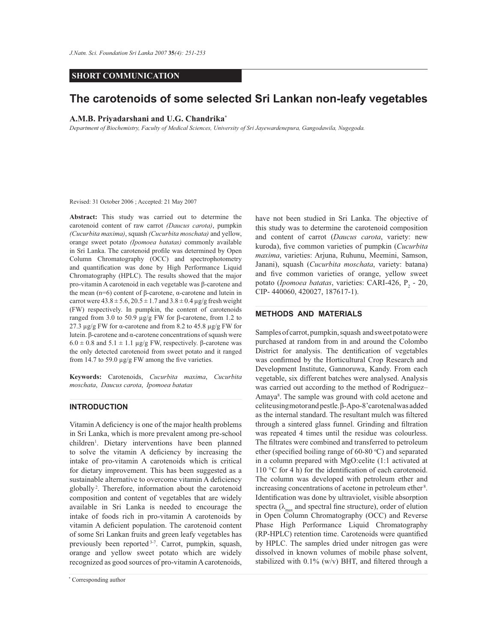## **SHORT COMMUNICATION**

# **The carotenoids of some selected Sri Lankan non-leafy vegetables**

## **A.M.B. Priyadarshani and U.G. Chandrika\***

*Department of Biochemistry, Faculty of Medical Sciences, University of Sri Jayewardenepura, Gangodawila, Nugegoda.*

Revised: 31 October 2006 ; Accepted: 21 May 2007

**Abstract:** This study was carried out to determine the carotenoid content of raw carrot *(Daucus carota)*, pumpkin *(Cucurbita maxima)*, squash *(Cucurbita moschata)* and yellow, orange sweet potato *(Ipomoea batatas)* commonly available in Sri Lanka. The carotenoid profile was determined by Open Column Chromatography (OCC) and spectrophotometry and quantification was done by High Performance Liquid Chromatography (HPLC). The results showed that the major pro-vitamin A carotenoid in each vegetable was β-carotene and the mean (n=6) content of β-carotene,  $α$ -carotene and lutein in carrot were  $43.8 \pm 5.6$ ,  $20.5 \pm 1.7$  and  $3.8 \pm 0.4$  µg/g fresh weight (FW) respectively. In pumpkin, the content of carotenoids ranged from 3.0 to 50.9 µg/g FW for β-carotene, from 1.2 to 27.3 μg/g FW for α-carotene and from 8.2 to 45.8 μg/g FW for lutein. β-carotene and α-carotene concentrations of squash were  $6.0 \pm 0.8$  and  $5.1 \pm 1.1$  μg/g FW, respectively. β-carotene was the only detected carotenoid from sweet potato and it ranged from 14.7 to 59.0 µg/g FW among the five varieties.

**Keywords:** Carotenoids, *Cucurbita maxima*, *Cucurbita moschata*, *Daucus carota*, *Ipomoea batatas*

#### **INTRODUCTION**

Vitamin A deficiency is one of the major health problems in Sri Lanka, which is more prevalent among pre-school children<sup>1</sup>. Dietary interventions have been planned to solve the vitamin A deficiency by increasing the intake of pro-vitamin A carotenoids which is critical for dietary improvement. This has been suggested as a sustainable alternative to overcome vitamin A deficiency globally<sup>2</sup>. Therefore, information about the carotenoid composition and content of vegetables that are widely available in Sri Lanka is needed to encourage the intake of foods rich in pro-vitamin A carotenoids by vitamin A deficient population. The carotenoid content of some Sri Lankan fruits and green leafy vegetables has previously been reported 3-7. Carrot, pumpkin, squash, orange and yellow sweet potato which are widely recognized as good sources of pro-vitamin A carotenoids,

have not been studied in Sri Lanka. The objective of this study was to determine the carotenoid composition and content of carrot (*Daucus carota*, variety: new kuroda), five common varieties of pumpkin (*Cucurbita maxima*, varieties: Arjuna, Ruhunu, Meemini, Samson, Janani), squash (*Cucurbita moschata*, variety: batana) and five common varieties of orange, yellow sweet potato (*Ipomoea batatas*, varieties: CARI-426, P<sub>2</sub> - 20, CIP- 440060, 420027, 187617-1).

#### **METHODS AND MATERIALS**

Samples of carrot, pumpkin, squash and sweet potato were purchased at random from in and around the Colombo District for analysis. The dentification of vegetables was confirmed by the Horticultural Crop Research and Development Institute, Gannoruwa, Kandy. From each vegetable, six different batches were analysed. Analysis was carried out according to the method of Rodriguez– Amaya<sup>8</sup>. The sample was ground with cold acetone and celite using motor and pestle. β-Apo-8' carotenal was added as the internal standard. The resultant mulch was filtered through a sintered glass funnel. Grinding and filtration was repeated 4 times until the residue was colourless. The filtrates were combined and transferred to petroleum ether (specified boiling range of 60-80 °C) and separated in a column prepared with MgO:celite (1:1 activated at 110 °C for 4 h) for the identification of each carotenoid. The column was developed with petroleum ether and increasing concentrations of acetone in petroleum ether<sup>8</sup>. Identification was done by ultraviolet, visible absorption spectra ( $\lambda_{\text{max}}$  and spectral fine structure), order of elution in Open Column Chromatography (OCC) and Reverse Phase High Performance Liquid Chromatography (RP-HPLC) retention time. Carotenoids were quantified by HPLC. The samples dried under nitrogen gas were dissolved in known volumes of mobile phase solvent, stabilized with  $0.1\%$  (w/v) BHT, and filtered through a

*Journal of the National Science Foundation of Sri Lanka 35 (4) December 2007* \* Corresponding author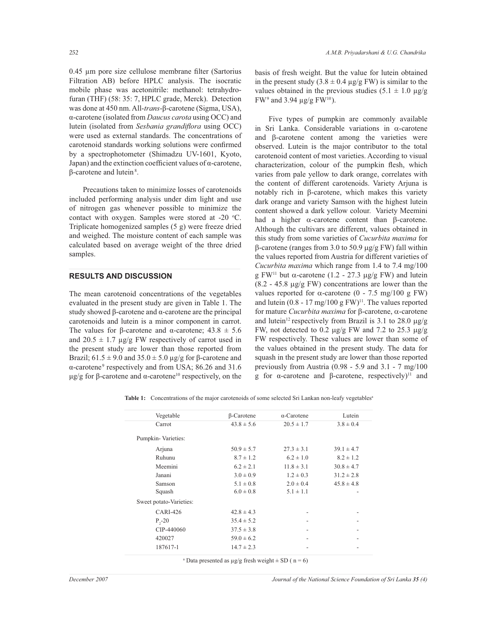0.45 µm pore size cellulose membrane filter (Sartorius Filtration AB) before HPLC analysis. The isocratic mobile phase was acetonitrile: methanol: tetrahydrofuran (THF) (58: 35: 7, HPLC grade, Merck). Detection was done at 450 nm. All-*trans*-β-carotene (Sigma, USA), α-carotene (isolated from *Daucus carota* using OCC) and lutein (isolated from *Sesbania grandiflora* using OCC) were used as external standards. The concentrations of carotenoid standards working solutions were confirmed by a spectrophotometer (Shimadzu UV-1601, Kyoto, Japan) and the extinction coefficient values of α-carotene,  $β$ -carotene and lutein<sup>8</sup>.

 Precautions taken to minimize losses of carotenoids included performing analysis under dim light and use of nitrogen gas whenever possible to minimize the contact with oxygen. Samples were stored at -20  $°C$ . Triplicate homogenized samples (5 g) were freeze dried and weighed. The moisture content of each sample was calculated based on average weight of the three dried samples.

## **RESULTS AND DISCUSSION**

The mean carotenoid concentrations of the vegetables evaluated in the present study are given in Table 1. The study showed β-carotene and α-carotene are the principal carotenoids and lutein is a minor component in carrot. The values for β-carotene and α-carotene;  $43.8 \pm 5.6$ and  $20.5 \pm 1.7 \mu g/g$  FW respectively of carrot used in the present study are lower than those reported from Brazil;  $61.5 \pm 9.0$  and  $35.0 \pm 5.0$   $\mu$ g/g for β-carotene and α-carotene<sup>9</sup> respectively and from USA; 86.26 and 31.6 μg/g for β-carotene and  $α$ -carotene<sup>10</sup> respectively, on the

basis of fresh weight. But the value for lutein obtained in the present study  $(3.8 \pm 0.4 \text{ µg/g FW})$  is similar to the values obtained in the previous studies  $(5.1 \pm 1.0 \text{ µg/g})$  $FW<sup>9</sup>$  and 3.94  $\mu$ g/g FW<sup>10</sup>).

 Five types of pumpkin are commonly available in Sri Lanka. Considerable variations in α-carotene and β-carotene content among the varieties were observed. Lutein is the major contributor to the total carotenoid content of most varieties. According to visual characterization, colour of the pumpkin flesh, which varies from pale yellow to dark orange, correlates with the content of different carotenoids. Variety Arjuna is notably rich in β-carotene, which makes this variety dark orange and variety Samson with the highest lutein content showed a dark yellow colour. Variety Meemini had a higher α-carotene content than β-carotene. Although the cultivars are different, values obtained in this study from some varieties of *Cucurbita maxima* for β-carotene (ranges from 3.0 to 50.9 µg/g FW) fall within the values reported from Austria for different varieties of *Cucurbita maxima* which range from 1.4 to 7.4 mg/100 g FW<sup>11</sup> but  $\alpha$ -carotene (1.2 - 27.3 µg/g FW) and lutein  $(8.2 - 45.8 \text{ µg/g FW})$  concentrations are lower than the values reported for α-carotene  $(0 - 7.5 \text{ mg}/100 \text{ g} \text{FW})$ and lutein  $(0.8 - 17 \text{ mg}/100 \text{ g FW})^{11}$ . The values reported for mature *Cucurbita maxima* for β-carotene, α-carotene and lutein<sup>12</sup> respectively from Brazil is 3.1 to 28.0  $\mu$ g/g FW, not detected to 0.2  $\mu$ g/g FW and 7.2 to 25.3  $\mu$ g/g FW respectively. These values are lower than some of the values obtained in the present study. The data for squash in the present study are lower than those reported previously from Austria (0.98 - 5.9 and 3.1 - 7 mg/100 g for α-carotene and β-carotene, respectively)<sup>11</sup> and

Table 1: Concentrations of the major carotenoids of some selected Sri Lankan non-leafy vegetables<sup>a</sup>

| Vegetable               | $\beta$ -Carotene | $\alpha$ -Carotene       | Lutein         |
|-------------------------|-------------------|--------------------------|----------------|
| Carrot                  | $43.8 \pm 5.6$    | $20.5 \pm 1.7$           | $3.8 \pm 0.4$  |
| Pumpkin-Varieties:      |                   |                          |                |
| Arjuna                  | $50.9 \pm 5.7$    | $27.3 \pm 3.1$           | $39.1 \pm 4.7$ |
| Ruhunu                  | $8.7 \pm 1.2$     | $6.2 \pm 1.0$            | $8.2 \pm 1.2$  |
| Meemini                 | $6.2 \pm 2.1$     | $11.8 \pm 3.1$           | $30.8 \pm 4.7$ |
| Janani                  | $3.0 \pm 0.9$     | $1.2 \pm 0.3$            | $31.2 \pm 2.8$ |
| Samson                  | $5.1 \pm 0.8$     | $2.0 \pm 0.4$            | $45.8 \pm 4.8$ |
| Squash                  | $6.0 \pm 0.8$     | $5.1 \pm 1.1$            |                |
| Sweet potato-Varieties: |                   |                          |                |
| <b>CARI-426</b>         | $42.8 \pm 4.3$    | $\overline{\phantom{a}}$ |                |
| $P_{2} - 20$            | $35.4 \pm 5.2$    |                          |                |
| CIP-440060              | $37.5 \pm 3.8$    | $\overline{\phantom{a}}$ | ۰              |
| 420027                  | $59.0 \pm 6.2$    |                          |                |
| 187617-1                | $14.7 \pm 2.3$    |                          |                |

<sup>a</sup> Data presented as  $\mu$ g/g fresh weight  $\pm$  SD ( n = 6)

*December 2007 Journal of the National Science Foundation of Sri Lanka 35 (4)*